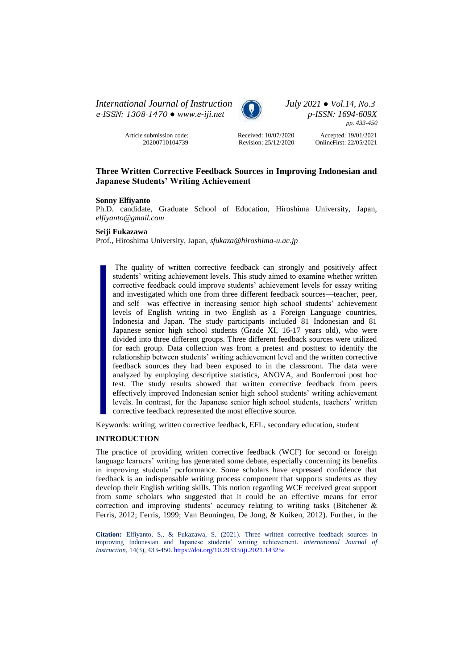*International Journal of Instruction July 2021 ● Vol.14, No.3 e-ISSN: 1308-1470 ● [www.e-iji.net](http://www.e-iji.net/) p-ISSN: 1694-609X*

> Article submission code: 20200710104739



*pp. 433-450*

Received: 10/07/2020 Revision: 25/12/2020

Accepted: 19/01/2021 OnlineFirst: 22/05/2021

# **Three Written Corrective Feedback Sources in Improving Indonesian and Japanese Students' Writing Achievement**

## **Sonny Elfiyanto**

Ph.D. candidate, Graduate School of Education, Hiroshima University, Japan, *elfiyanto@gmail.com*

#### **Seiji Fukazawa**

Prof., Hiroshima University, Japan, *sfukaza@hiroshima-u.ac.jp*

The quality of written corrective feedback can strongly and positively affect students' writing achievement levels. This study aimed to examine whether written corrective feedback could improve students' achievement levels for essay writing and investigated which one from three different feedback sources—teacher, peer, and self—was effective in increasing senior high school students' achievement levels of English writing in two English as a Foreign Language countries, Indonesia and Japan. The study participants included 81 Indonesian and 81 Japanese senior high school students (Grade XI, 16-17 years old), who were divided into three different groups. Three different feedback sources were utilized for each group. Data collection was from a pretest and posttest to identify the relationship between students' writing achievement level and the written corrective feedback sources they had been exposed to in the classroom. The data were analyzed by employing descriptive statistics, ANOVA, and Bonferroni post hoc test. The study results showed that written corrective feedback from peers effectively improved Indonesian senior high school students' writing achievement levels. In contrast, for the Japanese senior high school students, teachers' written corrective feedback represented the most effective source.

Keywords: writing, written corrective feedback, EFL, secondary education, student

# **INTRODUCTION**

The practice of providing written corrective feedback (WCF) for second or foreign language learners' writing has generated some debate, especially concerning its benefits in improving students' performance. Some scholars have expressed confidence that feedback is an indispensable writing process component that supports students as they develop their English writing skills. This notion regarding WCF received great support from some scholars who suggested that it could be an effective means for error correction and improving students' accuracy relating to writing tasks (Bitchener & Ferris, 2012; Ferris, 1999; Van Beuningen, De Jong, & Kuiken, 2012). Further, in the

**Citation:** Elfiyanto, S., & Fukazawa, S. (2021). Three written corrective feedback sources in improving Indonesian and Japanese students' writing achievement. *International Journal of Instruction*, 14(3), 433-450. <https://doi.org/10.29333/iji.2021.14325a>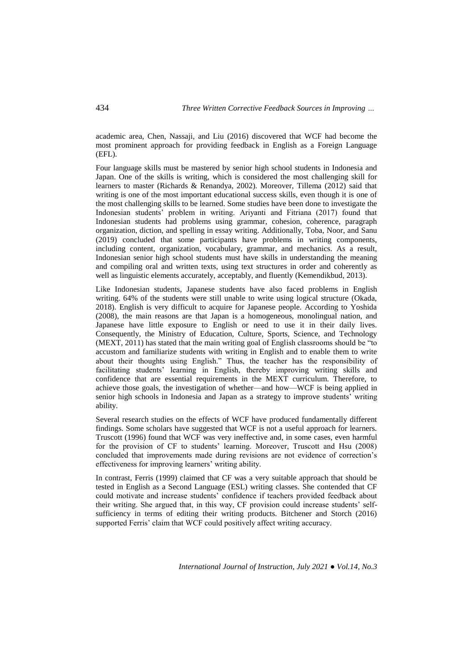academic area, Chen, Nassaji, and Liu (2016) discovered that WCF had become the most prominent approach for providing feedback in English as a Foreign Language (EFL).

Four language skills must be mastered by senior high school students in Indonesia and Japan. One of the skills is writing, which is considered the most challenging skill for learners to master (Richards & Renandya, 2002). Moreover, Tillema (2012) said that writing is one of the most important educational success skills, even though it is one of the most challenging skills to be learned. Some studies have been done to investigate the Indonesian students' problem in writing. Ariyanti and Fitriana (2017) found that Indonesian students had problems using grammar, cohesion, coherence, paragraph organization, diction, and spelling in essay writing. Additionally, Toba, Noor, and Sanu (2019) concluded that some participants have problems in writing components, including content, organization, vocabulary, grammar, and mechanics. As a result, Indonesian senior high school students must have skills in understanding the meaning and compiling oral and written texts, using text structures in order and coherently as well as linguistic elements accurately, acceptably, and fluently (Kemendikbud, 2013).

Like Indonesian students, Japanese students have also faced problems in English writing. 64% of the students were still unable to write using logical structure (Okada, 2018). English is very difficult to acquire for Japanese people. According to Yoshida (2008), the main reasons are that Japan is a homogeneous, monolingual nation, and Japanese have little exposure to English or need to use it in their daily lives. Consequently, the Ministry of Education, Culture, Sports, Science, and Technology (MEXT, 2011) has stated that the main writing goal of English classrooms should be "to accustom and familiarize students with writing in English and to enable them to write about their thoughts using English." Thus, the teacher has the responsibility of facilitating students' learning in English, thereby improving writing skills and confidence that are essential requirements in the MEXT curriculum. Therefore, to achieve those goals, the investigation of whether—and how—WCF is being applied in senior high schools in Indonesia and Japan as a strategy to improve students' writing ability.

Several research studies on the effects of WCF have produced fundamentally different findings. Some scholars have suggested that WCF is not a useful approach for learners. Truscott (1996) found that WCF was very ineffective and, in some cases, even harmful for the provision of CF to students' learning. Moreover, Truscott and Hsu (2008) concluded that improvements made during revisions are not evidence of correction's effectiveness for improving learners' writing ability.

In contrast, Ferris (1999) claimed that CF was a very suitable approach that should be tested in English as a Second Language (ESL) writing classes. She contended that CF could motivate and increase students' confidence if teachers provided feedback about their writing. She argued that, in this way, CF provision could increase students' selfsufficiency in terms of editing their writing products. Bitchener and Storch (2016) supported Ferris' claim that WCF could positively affect writing accuracy.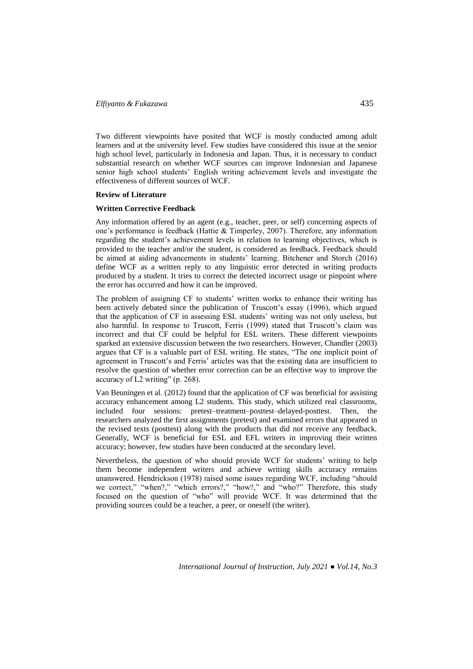# *Elfiyanto & Fukazawa* 435

Two different viewpoints have posited that WCF is mostly conducted among adult learners and at the university level. Few studies have considered this issue at the senior high school level, particularly in Indonesia and Japan. Thus, it is necessary to conduct substantial research on whether WCF sources can improve Indonesian and Japanese senior high school students' English writing achievement levels and investigate the effectiveness of different sources of WCF.

#### **Review of Literature**

#### **Written Corrective Feedback**

Any information offered by an agent (e.g., teacher, peer, or self) concerning aspects of one's performance is feedback (Hattie & Timperley, 2007). Therefore, any information regarding the student's achievement levels in relation to learning objectives, which is provided to the teacher and/or the student, is considered as feedback. Feedback should be aimed at aiding advancements in students' learning. Bitchener and Storch (2016) define WCF as a written reply to any linguistic error detected in writing products produced by a student. It tries to correct the detected incorrect usage or pinpoint where the error has occurred and how it can be improved.

The problem of assigning CF to students' written works to enhance their writing has been actively debated since the publication of Truscott's essay (1996), which argued that the application of CF in assessing ESL students' writing was not only useless, but also harmful. In response to Truscott, Ferris (1999) stated that Truscott's claim was incorrect and that CF could be helpful for ESL writers. These different viewpoints sparked an extensive discussion between the two researchers. However, Chandler (2003) argues that CF is a valuable part of ESL writing. He states, "The one implicit point of agreement in Truscott's and Ferris' articles was that the existing data are insufficient to resolve the question of whether error correction can be an effective way to improve the accuracy of L2 writing" (p. 268).

Van Beuningen et al. (2012) found that the application of CF was beneficial for assisting accuracy enhancement among L2 students. This study, which utilized real classrooms, included four sessions: pretest–treatment–posttest–delayed-posttest. Then, the researchers analyzed the first assignments (pretest) and examined errors that appeared in the revised texts (posttest) along with the products that did not receive any feedback. Generally, WCF is beneficial for ESL and EFL writers in improving their written accuracy; however, few studies have been conducted at the secondary level.

Nevertheless, the question of who should provide WCF for students' writing to help them become independent writers and achieve writing skills accuracy remains unanswered. Hendrickson (1978) raised some issues regarding WCF, including "should we correct," "when?," "which errors?," "how?," and "who?" Therefore, this study focused on the question of "who" will provide WCF. It was determined that the providing sources could be a teacher, a peer, or oneself (the writer).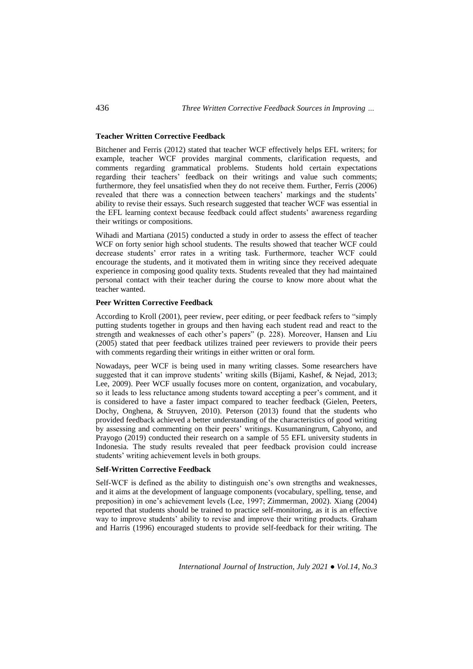# **Teacher Written Corrective Feedback**

Bitchener and Ferris (2012) stated that teacher WCF effectively helps EFL writers; for example, teacher WCF provides marginal comments, clarification requests, and comments regarding grammatical problems. Students hold certain expectations regarding their teachers' feedback on their writings and value such comments; furthermore, they feel unsatisfied when they do not receive them. Further, Ferris (2006) revealed that there was a connection between teachers' markings and the students' ability to revise their essays. Such research suggested that teacher WCF was essential in the EFL learning context because feedback could affect students' awareness regarding their writings or compositions.

Wihadi and Martiana (2015) conducted a study in order to assess the effect of teacher WCF on forty senior high school students. The results showed that teacher WCF could decrease students' error rates in a writing task. Furthermore, teacher WCF could encourage the students, and it motivated them in writing since they received adequate experience in composing good quality texts. Students revealed that they had maintained personal contact with their teacher during the course to know more about what the teacher wanted.

## **Peer Written Corrective Feedback**

According to Kroll (2001), peer review, peer editing, or peer feedback refers to "simply putting students together in groups and then having each student read and react to the strength and weaknesses of each other's papers" (p. 228). Moreover, Hansen and Liu (2005) stated that peer feedback utilizes trained peer reviewers to provide their peers with comments regarding their writings in either written or oral form.

Nowadays, peer WCF is being used in many writing classes. Some researchers have suggested that it can improve students' writing skills (Bijami, Kashef, & Nejad, 2013; Lee, 2009). Peer WCF usually focuses more on content, organization, and vocabulary, so it leads to less reluctance among students toward accepting a peer's comment, and it is considered to have a faster impact compared to teacher feedback (Gielen, Peeters, Dochy, Onghena, & Struyven, 2010). Peterson (2013) found that the students who provided feedback achieved a better understanding of the characteristics of good writing by assessing and commenting on their peers' writings. Kusumaningrum, Cahyono, and Prayogo (2019) conducted their research on a sample of 55 EFL university students in Indonesia. The study results revealed that peer feedback provision could increase students' writing achievement levels in both groups.

# **Self-Written Corrective Feedback**

Self-WCF is defined as the ability to distinguish one's own strengths and weaknesses, and it aims at the development of language components (vocabulary, spelling, tense, and preposition) in one's achievement levels (Lee, 1997; Zimmerman, 2002). Xiang (2004) reported that students should be trained to practice self-monitoring, as it is an effective way to improve students' ability to revise and improve their writing products. Graham and Harris (1996) encouraged students to provide self-feedback for their writing. The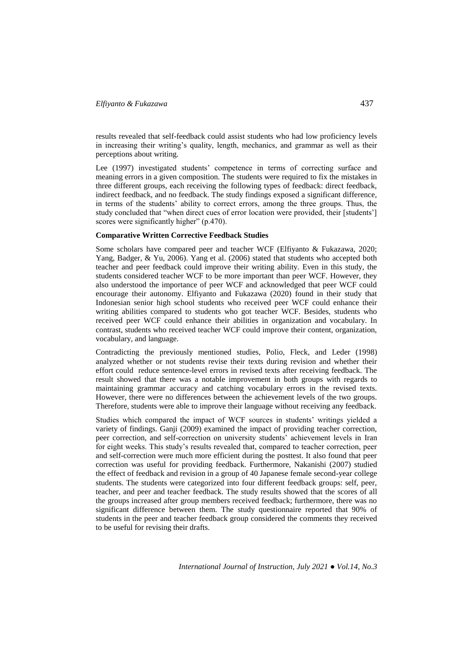results revealed that self-feedback could assist students who had low proficiency levels in increasing their writing's quality, length, mechanics, and grammar as well as their perceptions about writing.

Lee (1997) investigated students' competence in terms of correcting surface and meaning errors in a given composition. The students were required to fix the mistakes in three different groups, each receiving the following types of feedback: direct feedback, indirect feedback, and no feedback. The study findings exposed a significant difference, in terms of the students' ability to correct errors, among the three groups. Thus, the study concluded that "when direct cues of error location were provided, their [students'] scores were significantly higher" (p.470).

### **Comparative Written Corrective Feedback Studies**

Some scholars have compared peer and teacher WCF (Elfiyanto & Fukazawa, 2020; Yang, Badger, & Yu, 2006). Yang et al. (2006) stated that students who accepted both teacher and peer feedback could improve their writing ability. Even in this study, the students considered teacher WCF to be more important than peer WCF. However, they also understood the importance of peer WCF and acknowledged that peer WCF could encourage their autonomy. Elfiyanto and Fukazawa (2020) found in their study that Indonesian senior high school students who received peer WCF could enhance their writing abilities compared to students who got teacher WCF. Besides, students who received peer WCF could enhance their abilities in organization and vocabulary. In contrast, students who received teacher WCF could improve their content, organization, vocabulary, and language.

Contradicting the previously mentioned studies, Polio, Fleck, and Leder (1998) analyzed whether or not students revise their texts during revision and whether their effort could reduce sentence-level errors in revised texts after receiving feedback. The result showed that there was a notable improvement in both groups with regards to maintaining grammar accuracy and catching vocabulary errors in the revised texts. However, there were no differences between the achievement levels of the two groups. Therefore, students were able to improve their language without receiving any feedback.

Studies which compared the impact of WCF sources in students' writings yielded a variety of findings. Ganji (2009) examined the impact of providing teacher correction, peer correction, and self-correction on university students' achievement levels in Iran for eight weeks. This study's results revealed that, compared to teacher correction, peer and self-correction were much more efficient during the posttest. It also found that peer correction was useful for providing feedback. Furthermore, Nakanishi (2007) studied the effect of feedback and revision in a group of 40 Japanese female second-year college students. The students were categorized into four different feedback groups: self, peer, teacher, and peer and teacher feedback. The study results showed that the scores of all the groups increased after group members received feedback; furthermore, there was no significant difference between them. The study questionnaire reported that 90% of students in the peer and teacher feedback group considered the comments they received to be useful for revising their drafts.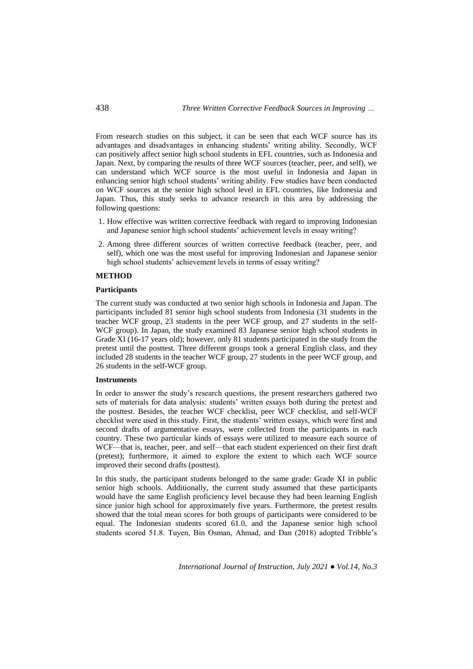From research studies on this subject, it can be seen that each WCF source has its advantages and disadvantages in enhancing students' writing ability. Secondly, WCF can positively affect senior high school students in EFL countries, such as Indonesia and Japan. Next, by comparing the results of three WCF sources (teacher, peer, and self), we can understand which WCF source is the most useful in Indonesia and Japan in enhancing senior high school students' writing ability. Few studies have been conducted on WCF sources at the senior high school level in EFL countries, like Indonesia and Japan. Thus, this study seeks to advance research in this area by addressing the following questions:

- 1. How effective was written corrective feedback with regard to improving Indonesian and Japanese senior high school students' achievement levels in essay writing?
- 2. Among three different sources of written corrective feedback (teacher, peer, and self), which one was the most useful for improving Indonesian and Japanese senior high school students' achievement levels in terms of essay writing?

### **METHOD**

#### **Participants**

The current study was conducted at two senior high schools in Indonesia and Japan. The participants included 81 senior high school students from Indonesia (31 students in the teacher WCF group, 23 students in the peer WCF group, and 27 students in the self-WCF group). In Japan, the study examined 83 Japanese senior high school students in Grade XI (16-17 years old); however, only 81 students participated in the study from the pretest until the posttest. Three different groups took a general English class, and they included 28 students in the teacher WCF group, 27 students in the peer WCF group, and 26 students in the self-WCF group.

## **Instruments**

In order to answer the study's research questions, the present researchers gathered two sets of materials for data analysis: students' written essays both during the pretest and the posttest. Besides, the teacher WCF checklist, peer WCF checklist, and self-WCF checklist were used in this study. First, the students' written essays, which were first and second drafts of argumentative essays, were collected from the participants in each country. These two particular kinds of essays were utilized to measure each source of WCF—that is, teacher, peer, and self—that each student experienced on their first draft (pretest); furthermore, it aimed to explore the extent to which each WCF source improved their second drafts (posttest).

In this study, the participant students belonged to the same grade: Grade XI in public senior high schools. Additionally, the current study assumed that these participants would have the same English proficiency level because they had been learning English since junior high school for approximately five years. Furthermore, the pretest results showed that the total mean scores for both groups of participants were considered to be equal. The Indonesian students scored 61.0, and the Japanese senior high school students scored 51.8. Tuyen, Bin Osman, Ahmad, and Dan (2018) adopted Tribble's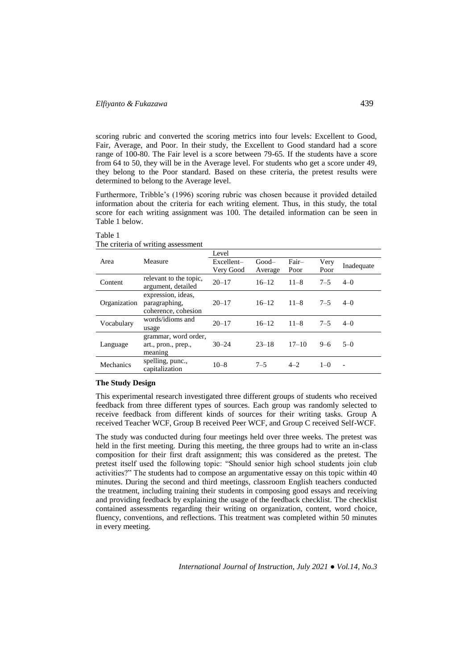# *Elfiyanto & Fukazawa* 439

scoring rubric and converted the scoring metrics into four levels: Excellent to Good, Fair, Average, and Poor. In their study, the Excellent to Good standard had a score range of 100-80. The Fair level is a score between 79-65. If the students have a score from 64 to 50, they will be in the Average level. For students who get a score under 49, they belong to the Poor standard. Based on these criteria, the pretest results were determined to belong to the Average level.

Furthermore, Tribble's (1996) scoring rubric was chosen because it provided detailed information about the criteria for each writing element. Thus, in this study, the total score for each writing assignment was 100. The detailed information can be seen in Table 1 below.

|              | The erritric of writing assessment |            |           |           |         |                          |  |  |  |
|--------------|------------------------------------|------------|-----------|-----------|---------|--------------------------|--|--|--|
|              |                                    | Level      |           |           |         |                          |  |  |  |
| Area         | Measure                            | Excellent- | $Good-$   | Fair-     | Very    |                          |  |  |  |
|              |                                    | Very Good  | Average   | Poor      | Poor    | Inadequate               |  |  |  |
| Content      | relevant to the topic,             | $20 - 17$  | $16 - 12$ | $11 - 8$  | $7 - 5$ | $4 - 0$                  |  |  |  |
|              | argument, detailed                 |            |           |           |         |                          |  |  |  |
|              | expression, ideas,                 |            |           | $11 - 8$  |         | $4-0$                    |  |  |  |
| Organization | paragraphing,                      | $20 - 17$  | $16 - 12$ |           | $7 - 5$ |                          |  |  |  |
|              | coherence, cohesion                |            |           |           |         |                          |  |  |  |
| Vocabulary   | words/idioms and                   | $20 - 17$  | $16 - 12$ | $11 - 8$  | $7 - 5$ | $4-0$                    |  |  |  |
|              | usage                              |            |           |           |         |                          |  |  |  |
|              | grammar, word order,               |            |           |           |         |                          |  |  |  |
| Language     | art., pron., prep.,                | $30 - 24$  | $23 - 18$ | $17 - 10$ | $9-6$   | $5-0$                    |  |  |  |
|              | meaning                            |            |           |           |         |                          |  |  |  |
| Mechanics    | spelling, punc.,                   | $10 - 8$   | $7 - 5$   | $4 - 2$   | $1 - 0$ | $\overline{\phantom{a}}$ |  |  |  |
|              | capitalization                     |            |           |           |         |                          |  |  |  |

#### Table 1 The criteria of writing assessment

## **The Study Design**

This experimental research investigated three different groups of students who received feedback from three different types of sources. Each group was randomly selected to receive feedback from different kinds of sources for their writing tasks. Group A received Teacher WCF, Group B received Peer WCF, and Group C received Self-WCF.

The study was conducted during four meetings held over three weeks. The pretest was held in the first meeting. During this meeting, the three groups had to write an in-class composition for their first draft assignment; this was considered as the pretest. The pretest itself used the following topic: "Should senior high school students join club activities?" The students had to compose an argumentative essay on this topic within 40 minutes. During the second and third meetings, classroom English teachers conducted the treatment, including training their students in composing good essays and receiving and providing feedback by explaining the usage of the feedback checklist. The checklist contained assessments regarding their writing on organization, content, word choice, fluency, conventions, and reflections. This treatment was completed within 50 minutes in every meeting.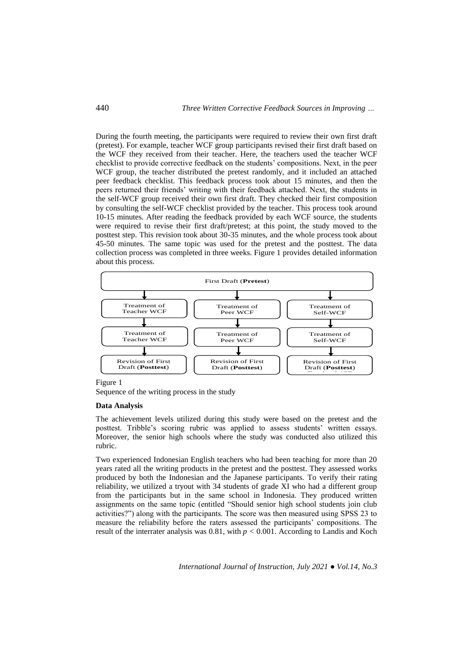During the fourth meeting, the participants were required to review their own first draft (pretest). For example, teacher WCF group participants revised their first draft based on the WCF they received from their teacher. Here, the teachers used the teacher WCF checklist to provide corrective feedback on the students' compositions. Next, in the peer WCF group, the teacher distributed the pretest randomly, and it included an attached peer feedback checklist. This feedback process took about 15 minutes, and then the peers returned their friends' writing with their feedback attached. Next, the students in the self-WCF group received their own first draft. They checked their first composition by consulting the self-WCF checklist provided by the teacher. This process took around 10-15 minutes. After reading the feedback provided by each WCF source, the students were required to revise their first draft/pretest; at this point, the study moved to the posttest step. This revision took about 30-35 minutes, and the whole process took about 45-50 minutes. The same topic was used for the pretest and the posttest. The data collection process was completed in three weeks. Figure 1 provides detailed information about this process.



Figure 1

Sequence of the writing process in the study

#### **Data Analysis**

The achievement levels utilized during this study were based on the pretest and the posttest. Tribble's scoring rubric was applied to assess students' written essays. Moreover, the senior high schools where the study was conducted also utilized this rubric.

Two experienced Indonesian English teachers who had been teaching for more than 20 years rated all the writing products in the pretest and the posttest. They assessed works produced by both the Indonesian and the Japanese participants. To verify their rating reliability, we utilized a tryout with 34 students of grade XI who had a different group from the participants but in the same school in Indonesia. They produced written assignments on the same topic (entitled "Should senior high school students join club activities?") along with the participants. The score was then measured using SPSS 23 to measure the reliability before the raters assessed the participants' compositions. The result of the interrater analysis was 0.81, with *p <* 0.001. According to Landis and Koch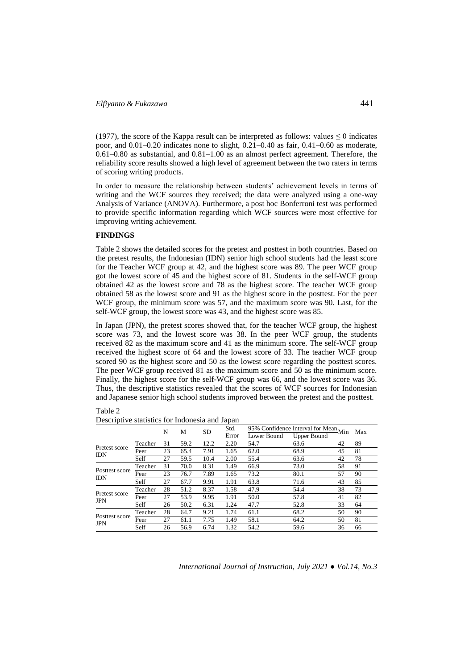(1977), the score of the Kappa result can be interpreted as follows: values  $\leq 0$  indicates poor, and 0.01–0.20 indicates none to slight, 0.21–0.40 as fair, 0.41–0.60 as moderate, 0.61–0.80 as substantial, and 0.81–1.00 as an almost perfect agreement. Therefore, the reliability score results showed a high level of agreement between the two raters in terms of scoring writing products.

In order to measure the relationship between students' achievement levels in terms of writing and the WCF sources they received; the data were analyzed using a one-way Analysis of Variance (ANOVA). Furthermore, a post hoc Bonferroni test was performed to provide specific information regarding which WCF sources were most effective for improving writing achievement.

### **FINDINGS**

Table 2 shows the detailed scores for the pretest and posttest in both countries. Based on the pretest results, the Indonesian (IDN) senior high school students had the least score for the Teacher WCF group at 42, and the highest score was 89. The peer WCF group got the lowest score of 45 and the highest score of 81. Students in the self-WCF group obtained 42 as the lowest score and 78 as the highest score. The teacher WCF group obtained 58 as the lowest score and 91 as the highest score in the posttest. For the peer WCF group, the minimum score was 57, and the maximum score was 90. Last, for the self-WCF group, the lowest score was 43, and the highest score was 85.

In Japan (JPN), the pretest scores showed that, for the teacher WCF group, the highest score was 73, and the lowest score was 38. In the peer WCF group, the students received 82 as the maximum score and 41 as the minimum score. The self-WCF group received the highest score of 64 and the lowest score of 33. The teacher WCF group scored 90 as the highest score and 50 as the lowest score regarding the posttest scores. The peer WCF group received 81 as the maximum score and 50 as the minimum score. Finally, the highest score for the self-WCF group was 66, and the lowest score was 36. Thus, the descriptive statistics revealed that the scores of WCF sources for Indonesian and Japanese senior high school students improved between the pretest and the posttest.

| able |  |
|------|--|
|------|--|

|                              |         | N<br>М |      | <b>SD</b> | Std.  |             | 95% Confidence Interval for Mean Min |    | Max |
|------------------------------|---------|--------|------|-----------|-------|-------------|--------------------------------------|----|-----|
|                              |         |        |      |           | Error | Lower Bound | <b>Upper Bound</b>                   |    |     |
| Pretest score<br><b>IDN</b>  | Teacher | 31     | 59.2 | 12.2      | 2.20  | 54.7        | 63.6                                 | 42 | 89  |
|                              | Peer    | 23     | 65.4 | 7.91      | 1.65  | 62.0        | 68.9                                 | 45 | 81  |
|                              | Self    | 27     | 59.5 | 10.4      | 2.00  | 55.4        | 63.6                                 | 42 | 78  |
| Posttest score<br><b>IDN</b> | Teacher | 31     | 70.0 | 8.31      | 1.49  | 66.9        | 73.0                                 | 58 | 91  |
|                              | Peer    | 23     | 76.7 | 7.89      | 1.65  | 73.2        | 80.1                                 | 57 | 90  |
|                              | Self    | 27     | 67.7 | 9.91      | 1.91  | 63.8        | 71.6                                 | 43 | 85  |
| Pretest score<br><b>JPN</b>  | Teacher | 28     | 51.2 | 8.37      | 1.58  | 47.9        | 54.4                                 | 38 | 73  |
|                              | Peer    | 27     | 53.9 | 9.95      | 1.91  | 50.0        | 57.8                                 | 41 | 82  |
|                              | Self    | 26     | 50.2 | 6.31      | 1.24  | 47.7        | 52.8                                 | 33 | 64  |
| Posttest score<br><b>JPN</b> | Teacher | 28     | 64.7 | 9.21      | 1.74  | 61.1        | 68.2                                 | 50 | 90  |
|                              | Peer    | 27     | 61.1 | 7.75      | 1.49  | 58.1        | 64.2                                 | 50 | 81  |
|                              | Self    | 26     | 56.9 | 6.74      | 1.32  | 54.2        | 59.6                                 | 36 | 66  |

Descriptive statistics for Indonesia and Japan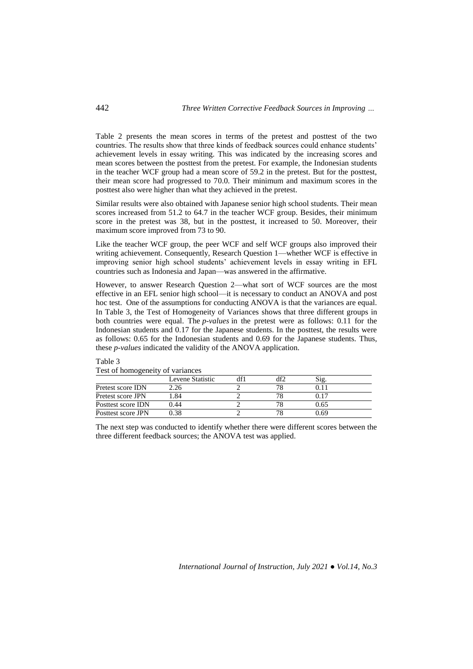Table 2 presents the mean scores in terms of the pretest and posttest of the two countries. The results show that three kinds of feedback sources could enhance students' achievement levels in essay writing. This was indicated by the increasing scores and mean scores between the posttest from the pretest. For example, the Indonesian students in the teacher WCF group had a mean score of 59.2 in the pretest. But for the posttest, their mean score had progressed to 70.0. Their minimum and maximum scores in the posttest also were higher than what they achieved in the pretest.

Similar results were also obtained with Japanese senior high school students. Their mean scores increased from 51.2 to 64.7 in the teacher WCF group. Besides, their minimum score in the pretest was 38, but in the posttest, it increased to 50. Moreover, their maximum score improved from 73 to 90.

Like the teacher WCF group, the peer WCF and self WCF groups also improved their writing achievement. Consequently, Research Question 1—whether WCF is effective in improving senior high school students' achievement levels in essay writing in EFL countries such as Indonesia and Japan—was answered in the affirmative.

However, to answer Research Question 2—what sort of WCF sources are the most effective in an EFL senior high school—it is necessary to conduct an ANOVA and post hoc test. One of the assumptions for conducting ANOVA is that the variances are equal. In Table 3, the Test of Homogeneity of Variances shows that three different groups in both countries were equal. The *p-values* in the pretest were as follows: 0.11 for the Indonesian students and 0.17 for the Japanese students. In the posttest, the results were as follows: 0.65 for the Indonesian students and 0.69 for the Japanese students. Thus, these *p-values* indicated the validity of the ANOVA application.

# Table 3

| Test of homogeneity of variances |  |  |
|----------------------------------|--|--|
|                                  |  |  |
|                                  |  |  |

|                    | Levene Statistic | 1f2 | Sig. |  |
|--------------------|------------------|-----|------|--|
| Pretest score IDN  | .26              |     |      |  |
| Pretest score JPN  | .84              |     |      |  |
| Posttest score IDN | 0.44             |     | 0.65 |  |
| Posttest score JPN | -38              |     | 0.69 |  |

The next step was conducted to identify whether there were different scores between the three different feedback sources; the ANOVA test was applied.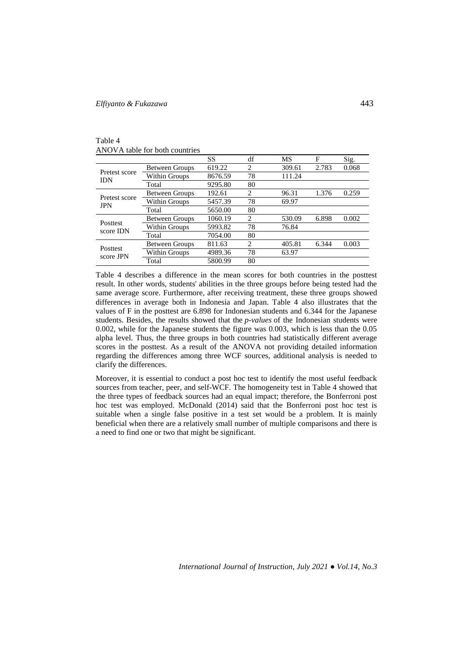# *Elfiyanto & Fukazawa* 443

Table 4 ANOVA table for both countries

|                             |                       | SS      | df | MS     | F     | Sig.  |
|-----------------------------|-----------------------|---------|----|--------|-------|-------|
|                             | <b>Between Groups</b> | 619.22  | 2  | 309.61 | 2.783 | 0.068 |
| Pretest score<br><b>IDN</b> | Within Groups         | 8676.59 | 78 | 111.24 |       |       |
|                             | Total                 | 9295.80 | 80 |        |       |       |
| Pretest score               | <b>Between Groups</b> | 192.61  | 2  | 96.31  | 1.376 | 0.259 |
| <b>JPN</b>                  | Within Groups         | 5457.39 | 78 | 69.97  |       |       |
|                             | Total                 | 5650.00 | 80 |        |       |       |
| Posttest                    | <b>Between Groups</b> | 1060.19 | 2  | 530.09 | 6.898 | 0.002 |
| score IDN                   | Within Groups         | 5993.82 | 78 | 76.84  |       |       |
|                             | Total                 | 7054.00 | 80 |        |       |       |
| Posttest<br>score JPN       | <b>Between Groups</b> | 811.63  | 2  | 405.81 | 6.344 | 0.003 |
|                             | Within Groups         | 4989.36 | 78 | 63.97  |       |       |
|                             | Total                 | 5800.99 | 80 |        |       |       |

Table 4 describes a difference in the mean scores for both countries in the posttest result. In other words, students' abilities in the three groups before being tested had the same average score. Furthermore, after receiving treatment, these three groups showed differences in average both in Indonesia and Japan. Table 4 also illustrates that the values of F in the posttest are 6.898 for Indonesian students and 6.344 for the Japanese students. Besides, the results showed that the *p-values* of the Indonesian students were 0.002, while for the Japanese students the figure was 0.003, which is less than the 0.05 alpha level. Thus, the three groups in both countries had statistically different average scores in the posttest. As a result of the ANOVA not providing detailed information regarding the differences among three WCF sources, additional analysis is needed to clarify the differences.

Moreover, it is essential to conduct a post hoc test to identify the most useful feedback sources from teacher, peer, and self-WCF. The homogeneity test in Table 4 showed that the three types of feedback sources had an equal impact; therefore, the Bonferroni post hoc test was employed. McDonald (2014) said that the Bonferroni post hoc test is suitable when a single false positive in a test set would be a problem. It is mainly beneficial when there are a relatively small number of multiple comparisons and there is a need to find one or two that might be significant.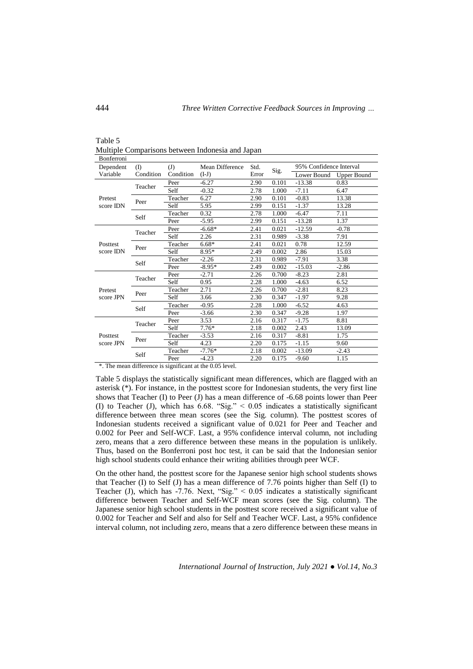| Bonferroni            |              |           |                 |       |       |                         |                    |
|-----------------------|--------------|-----------|-----------------|-------|-------|-------------------------|--------------------|
| Dependent             | $($ $\Gamma$ | (J)       | Mean Difference | Std.  |       | 95% Confidence Interval |                    |
| Variable              | Condition    | Condition | $(I-J)$         | Error | Sig.  | Lower Bound             | <b>Upper Bound</b> |
|                       | Teacher      | Peer      | $-6.27$         | 2.90  | 0.101 | $-13.38$                | 0.83               |
|                       |              | Self      | $-0.32$         | 2.78  | 1.000 | $-7.11$                 | 6.47               |
| Pretest               | Peer         | Teacher   | 6.27            | 2.90  | 0.101 | $-0.83$                 | 13.38              |
| score IDN             |              | Self      | 5.95            | 2.99  | 0.151 | $-1.37$                 | 13.28              |
|                       | Self         | Teacher   | 0.32            | 2.78  | 1.000 | $-6.47$                 | 7.11               |
|                       |              | Peer      | $-5.95$         | 2.99  | 0.151 | $-13.28$                | 1.37               |
| Posttest<br>score IDN | Teacher      | Peer      | $-6.68*$        | 2.41  | 0.021 | $-12.59$                | $-0.78$            |
|                       |              | Self      | 2.26            | 2.31  | 0.989 | $-3.38$                 | 7.91               |
|                       | Peer         | Teacher   | $6.68*$         | 2.41  | 0.021 | 0.78                    | 12.59              |
|                       |              | Self      | 8.95*           | 2.49  | 0.002 | 2.86                    | 15.03              |
|                       | Self         | Teacher   | $-2.26$         | 2.31  | 0.989 | $-7.91$                 | 3.38               |
|                       |              | Peer      | $-8.95*$        | 2.49  | 0.002 | $-15.03$                | $-2.86$            |
|                       | Teacher      | Peer      | $-2.71$         | 2.26  | 0.700 | $-8.23$                 | 2.81               |
|                       |              | Self      | 0.95            | 2.28  | 1.000 | $-4.63$                 | 6.52               |
| Pretest               | Peer         | Teacher   | 2.71            | 2.26  | 0.700 | $-2.81$                 | 8.23               |
| score JPN             |              | Self      | 3.66            | 2.30  | 0.347 | $-1.97$                 | 9.28               |
|                       | Self         | Teacher   | $-0.95$         | 2.28  | 1.000 | $-6.52$                 | 4.63               |
|                       |              | Peer      | $-3.66$         | 2.30  | 0.347 | $-9.28$                 | 1.97               |
|                       | Teacher      | Peer      | 3.53            | 2.16  | 0.317 | $-1.75$                 | 8.81               |
| Posttest<br>score JPN |              | Self      | $7.76*$         | 2.18  | 0.002 | 2.43                    | 13.09              |
|                       | Peer         | Teacher   | $-3.53$         | 2.16  | 0.317 | $-8.81$                 | 1.75               |
|                       |              | Self      | 4.23            | 2.20  | 0.175 | $-1.15$                 | 9.60               |
|                       | Self         | Teacher   | $-7.76*$        | 2.18  | 0.002 | $-13.09$                | $-2.43$            |
|                       |              | Peer      | $-4.23$         | 2.20  | 0.175 | $-9.60$                 | 1.15               |

Table 5 Multiple Comparisons between Indonesia and Japan

\*. The mean difference is significant at the 0.05 level.

Table 5 displays the statistically significant mean differences, which are flagged with an asterisk (\*). For instance, in the posttest score for Indonesian students, the very first line shows that Teacher  $(I)$  to Peer  $(J)$  has a mean difference of -6.68 points lower than Peer (I) to Teacher (J), which has 6.68. "Sig." < 0.05 indicates a statistically significant difference between three mean scores (see the Sig. column). The posttest scores of Indonesian students received a significant value of 0.021 for Peer and Teacher and 0.002 for Peer and Self-WCF. Last, a 95% confidence interval column, not including zero, means that a zero difference between these means in the population is unlikely. Thus, based on the Bonferroni post hoc test, it can be said that the Indonesian senior high school students could enhance their writing abilities through peer WCF.

On the other hand, the posttest score for the Japanese senior high school students shows that Teacher (I) to Self (J) has a mean difference of 7.76 points higher than Self (I) to Teacher (J), which has -7.76. Next, "Sig." < 0.05 indicates a statistically significant difference between Teacher and Self-WCF mean scores (see the Sig. column). The Japanese senior high school students in the posttest score received a significant value of 0.002 for Teacher and Self and also for Self and Teacher WCF. Last, a 95% confidence interval column, not including zero, means that a zero difference between these means in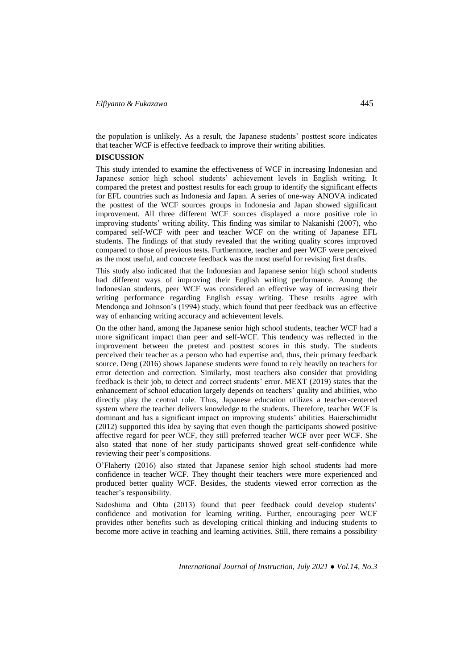the population is unlikely. As a result, the Japanese students' posttest score indicates that teacher WCF is effective feedback to improve their writing abilities.

#### **DISCUSSION**

This study intended to examine the effectiveness of WCF in increasing Indonesian and Japanese senior high school students' achievement levels in English writing. It compared the pretest and posttest results for each group to identify the significant effects for EFL countries such as Indonesia and Japan. A series of one-way ANOVA indicated the posttest of the WCF sources groups in Indonesia and Japan showed significant improvement. All three different WCF sources displayed a more positive role in improving students' writing ability. This finding was similar to Nakanishi (2007), who compared self-WCF with peer and teacher WCF on the writing of Japanese EFL students. The findings of that study revealed that the writing quality scores improved compared to those of previous tests. Furthermore, teacher and peer WCF were perceived as the most useful, and concrete feedback was the most useful for revising first drafts.

This study also indicated that the Indonesian and Japanese senior high school students had different ways of improving their English writing performance. Among the Indonesian students, peer WCF was considered an effective way of increasing their writing performance regarding English essay writing. These results agree with Mendonça and Johnson's (1994) study, which found that peer feedback was an effective way of enhancing writing accuracy and achievement levels.

On the other hand, among the Japanese senior high school students, teacher WCF had a more significant impact than peer and self-WCF. This tendency was reflected in the improvement between the pretest and posttest scores in this study. The students perceived their teacher as a person who had expertise and, thus, their primary feedback source. Deng (2016) shows Japanese students were found to rely heavily on teachers for error detection and correction. Similarly, most teachers also consider that providing feedback is their job, to detect and correct students' error. MEXT (2019) states that the enhancement of school education largely depends on teachers' quality and abilities, who directly play the central role. Thus, Japanese education utilizes a teacher-centered system where the teacher delivers knowledge to the students. Therefore, teacher WCF is dominant and has a significant impact on improving students' abilities. Baierschimidht (2012) supported this idea by saying that even though the participants showed positive affective regard for peer WCF, they still preferred teacher WCF over peer WCF. She also stated that none of her study participants showed great self-confidence while reviewing their peer's compositions.

O'Flaherty (2016) also stated that Japanese senior high school students had more confidence in teacher WCF. They thought their teachers were more experienced and produced better quality WCF. Besides, the students viewed error correction as the teacher's responsibility.

Sadoshima and Ohta (2013) found that peer feedback could develop students' confidence and motivation for learning writing. Further, encouraging peer WCF provides other benefits such as developing critical thinking and inducing students to become more active in teaching and learning activities. Still, there remains a possibility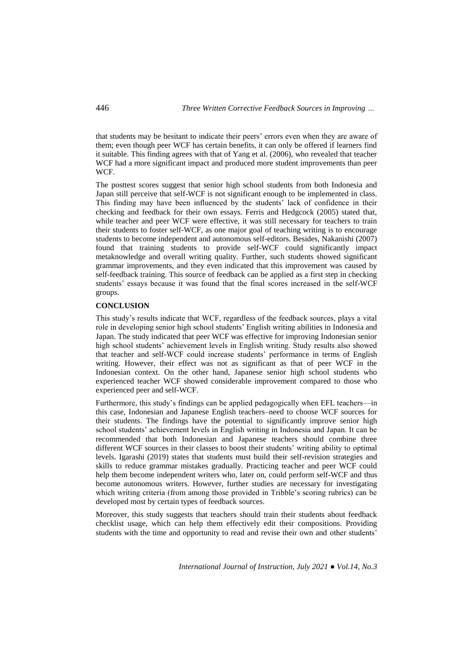that students may be hesitant to indicate their peers' errors even when they are aware of them; even though peer WCF has certain benefits, it can only be offered if learners find it suitable. This finding agrees with that of Yang et al. (2006), who revealed that teacher WCF had a more significant impact and produced more student improvements than peer WCF.

The posttest scores suggest that senior high school students from both Indonesia and Japan still perceive that self-WCF is not significant enough to be implemented in class. This finding may have been influenced by the students' lack of confidence in their checking and feedback for their own essays. Ferris and Hedgcock (2005) stated that, while teacher and peer WCF were effective, it was still necessary for teachers to train their students to foster self-WCF, as one major goal of teaching writing is to encourage students to become independent and autonomous self-editors. Besides, Nakanishi (2007) found that training students to provide self-WCF could significantly impact metaknowledge and overall writing quality. Further, such students showed significant grammar improvements, and they even indicated that this improvement was caused by self-feedback training. This source of feedback can be applied as a first step in checking students' essays because it was found that the final scores increased in the self-WCF groups.

## **CONCLUSION**

This study's results indicate that WCF, regardless of the feedback sources, plays a vital role in developing senior high school students' English writing abilities in Indonesia and Japan. The study indicated that peer WCF was effective for improving Indonesian senior high school students' achievement levels in English writing. Study results also showed that teacher and self-WCF could increase students' performance in terms of English writing. However, their effect was not as significant as that of peer WCF in the Indonesian context. On the other hand, Japanese senior high school students who experienced teacher WCF showed considerable improvement compared to those who experienced peer and self-WCF.

Furthermore, this study's findings can be applied pedagogically when EFL teachers—in this case, Indonesian and Japanese English teachers–need to choose WCF sources for their students. The findings have the potential to significantly improve senior high school students' achievement levels in English writing in Indonesia and Japan. It can be recommended that both Indonesian and Japanese teachers should combine three different WCF sources in their classes to boost their students' writing ability to optimal levels. Igarashi (2019) states that students must build their self-revision strategies and skills to reduce grammar mistakes gradually. Practicing teacher and peer WCF could help them become independent writers who, later on, could perform self-WCF and thus become autonomous writers. However, further studies are necessary for investigating which writing criteria (from among those provided in Tribble's scoring rubrics) can be developed most by certain types of feedback sources.

Moreover, this study suggests that teachers should train their students about feedback checklist usage, which can help them effectively edit their compositions. Providing students with the time and opportunity to read and revise their own and other students'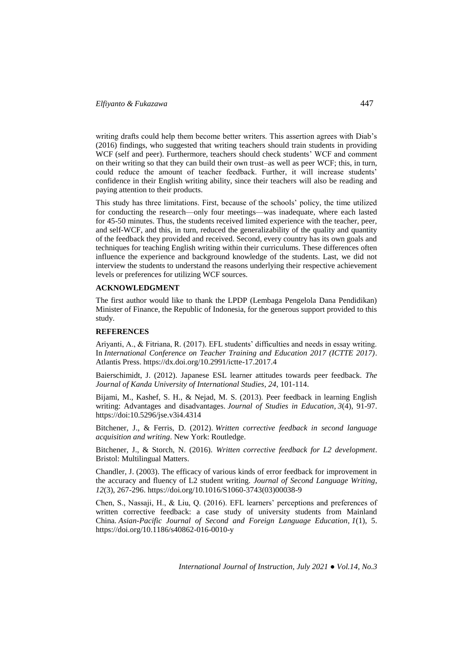writing drafts could help them become better writers. This assertion agrees with Diab's (2016) findings, who suggested that writing teachers should train students in providing WCF (self and peer). Furthermore, teachers should check students' WCF and comment on their writing so that they can build their own trust–as well as peer WCF; this, in turn, could reduce the amount of teacher feedback. Further, it will increase students' confidence in their English writing ability, since their teachers will also be reading and paying attention to their products.

This study has three limitations. First, because of the schools' policy, the time utilized for conducting the research—only four meetings—was inadequate, where each lasted for 45-50 minutes. Thus, the students received limited experience with the teacher, peer, and self-WCF, and this, in turn, reduced the generalizability of the quality and quantity of the feedback they provided and received. Second, every country has its own goals and techniques for teaching English writing within their curriculums. These differences often influence the experience and background knowledge of the students. Last, we did not interview the students to understand the reasons underlying their respective achievement levels or preferences for utilizing WCF sources.

#### **ACKNOWLEDGMENT**

The first author would like to thank the LPDP (Lembaga Pengelola Dana Pendidikan) Minister of Finance, the Republic of Indonesia, for the generous support provided to this study.

#### **REFERENCES**

Ariyanti, A., & Fitriana, R. (2017). EFL students' difficulties and needs in essay writing. In *International Conference on Teacher Training and Education 2017 (ICTTE 2017)*. Atlantis Press. https://dx.doi.org/10.2991/ictte-17.2017.4

Baierschimidt, J. (2012). Japanese ESL learner attitudes towards peer feedback. *The Journal of Kanda University of International Studies*, *24*, 101-114.

Bijami, M., Kashef, S. H., & Nejad, M. S. (2013). Peer feedback in learning English writing: Advantages and disadvantages. *Journal of Studies in Education*, *3*(4), 91-97. https://doi:10.5296/jse.v3i4.4314

Bitchener, J., & Ferris, D. (2012). *Written corrective feedback in second language acquisition and writing*. New York: Routledge.

Bitchener, J., & Storch, N. (2016). *Written corrective feedback for L2 development*. Bristol: Multilingual Matters.

Chandler, J. (2003). The efficacy of various kinds of error feedback for improvement in the accuracy and fluency of L2 student writing. *Journal of Second Language Writing*, *12*(3), 267-296. https://doi.org/10.1016/S1060-3743(03)00038-9

Chen, S., Nassaji, H., & Liu, Q. (2016). EFL learners' perceptions and preferences of written corrective feedback: a case study of university students from Mainland China. *Asian-Pacific Journal of Second and Foreign Language Education*, *1*(1), 5. https://doi.org/10.1186/s40862-016-0010-y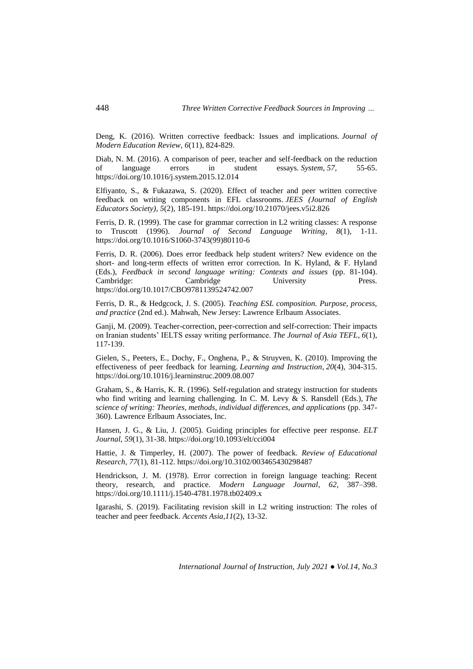Deng, K. (2016). Written corrective feedback: Issues and implications. *Journal of Modern Education Review*, *6*(11), 824-829.

Diab, N. M. (2016). A comparison of peer, teacher and self-feedback on the reduction of language errors in student essays. *System*, *57*, 55-65. https://doi.org/10.1016/j.system.2015.12.014

Elfiyanto, S., & Fukazawa, S. (2020). Effect of teacher and peer written corrective feedback on writing components in EFL classrooms. *JEES (Journal of English Educators Society)*, *5*(2), 185-191. https://doi.org/10.21070/jees.v5i2.826

Ferris, D. R. (1999). The case for grammar correction in L2 writing classes: A response to Truscott (1996). *Journal of Second Language Writing*, *8*(1), 1-11. https://doi.org/10.1016/S1060-3743(99)80110-6

Ferris, D. R. (2006). Does error feedback help student writers? New evidence on the short- and long-term effects of written error correction. In K. Hyland, & F. Hyland (Eds.), *Feedback in second language writing: Contexts and issues* (pp. 81-104). Cambridge: Cambridge University Press. https://doi.org/10.1017/CBO9781139524742.007

Ferris, D. R., & Hedgcock, J. S. (2005). *Teaching ESL composition. Purpose, process, and practice* (2nd ed.). Mahwah, New Jersey: Lawrence Erlbaum Associates.

Ganji, M. (2009). Teacher-correction, peer-correction and self-correction: Their impacts on Iranian students' IELTS essay writing performance. *The Journal of Asia TEFL*, *6*(1), 117-139.

Gielen, S., Peeters, E., Dochy, F., Onghena, P., & Struyven, K. (2010). Improving the effectiveness of peer feedback for learning. *Learning and Instruction*, *20*(4), 304-315. https://doi.org/10.1016/j.learninstruc.2009.08.007

Graham, S., & Harris, K. R. (1996). Self-regulation and strategy instruction for students who find writing and learning challenging. In C. M. Levy & S. Ransdell (Eds.), *The science of writing: Theories, methods, individual differences, and applications* (pp. 347- 360). Lawrence Erlbaum Associates, Inc.

Hansen, J. G., & Liu, J. (2005). Guiding principles for effective peer response. *ELT Journal*, *59*(1), 31-38. https://doi.org/10.1093/elt/cci004

Hattie, J. & Timperley, H. (2007). The power of feedback. *Review of Educational Research, 77*(1), 81-112. https://doi.org/10.3102/003465430298487

Hendrickson, J. M. (1978). Error correction in foreign language teaching: Recent theory, research, and practice. *Modern Language Journal*, *62*, 387–398. https://doi.org/10.1111/j.1540-4781.1978.tb02409.x

Igarashi, S. (2019). Facilitating revision skill in L2 writing instruction: The roles of teacher and peer feedback. *Accents Asia,11*(2), 13-32.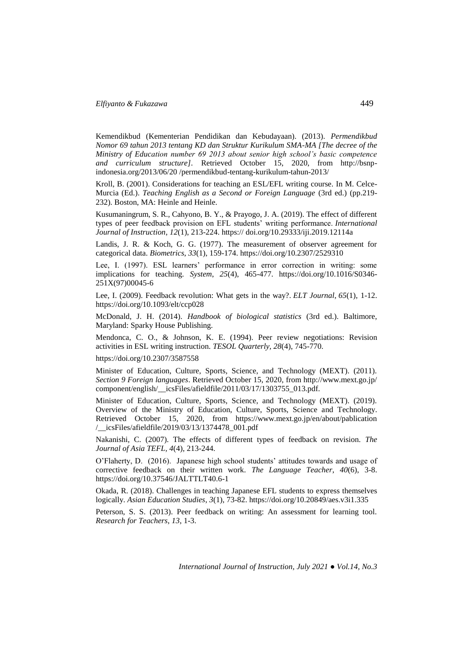Kemendikbud (Kementerian Pendidikan dan Kebudayaan). (2013). *Permendikbud Nomor 69 tahun 2013 tentang KD dan Struktur Kurikulum SMA-MA [The decree of the Ministry of Education number 69 2013 about senior high school's basic competence and curriculum structure].* Retrieved October 15, 2020, from http://bsnpindonesia.org/2013/06/20 /permendikbud-tentang-kurikulum-tahun-2013/

Kroll, B. (2001). Considerations for teaching an ESL/EFL writing course. In M. Celce-Murcia (Ed.). *Teaching English as a Second or Foreign Language* (3rd ed.) (pp.219- 232). Boston, MA: Heinle and Heinle.

Kusumaningrum, S. R., Cahyono, B. Y., & Prayogo, J. A. (2019). The effect of different types of peer feedback provision on EFL students' writing performance. *International Journal of Instruction*, *12*(1), 213-224. https:// doi.org/10.29333/iji.2019.12114a

Landis, J. R. & Koch, G. G. (1977). The measurement of observer agreement for categorical data. *Biometrics*, *33*(1), 159-174. https://doi.org/10.2307/2529310

Lee, I. (1997). ESL learners' performance in error correction in writing: some implications for teaching. *System*, *25*(4), 465-477. https://doi.org/10.1016/S0346- 251X(97)00045-6

Lee, I. (2009). Feedback revolution: What gets in the way?. *ELT Journal*, *65*(1), 1-12. https://doi.org/10.1093/elt/ccp028

McDonald, J. H. (2014). *Handbook of biological statistics* (3rd ed.). Baltimore, Maryland: Sparky House Publishing.

Mendonca, C. O., & Johnson, K. E. (1994). Peer review negotiations: Revision activities in ESL writing instruction. *TESOL Quarterly, 28*(4), 745-770.

https://doi.org/10.2307/3587558

Minister of Education, Culture, Sports, Science, and Technology (MEXT). (2011). *Section 9 Foreign languages*. Retrieved October 15, 2020, from http://www.mext.go.jp/ component/english/\_\_icsFiles/afieldfile/2011/03/17/1303755\_013.pdf.

Minister of Education, Culture, Sports, Science, and Technology (MEXT). (2019). Overview of the Ministry of Education, Culture, Sports, Science and Technology. Retrieved October 15, 2020, from https://www.mext.go.jp/en/about/pablication /\_\_icsFiles/afieldfile/2019/03/13/1374478\_001.pdf

Nakanishi, C. (2007). The effects of different types of feedback on revision. *The Journal of Asia TEFL, 4*(4), 213-244.

O'Flaherty, D. (2016). Japanese high school students' attitudes towards and usage of corrective feedback on their written work. *The Language Teacher*, *40*(6), 3-8. https://doi.org/10.37546/JALTTLT40.6-1

Okada, R. (2018). Challenges in teaching Japanese EFL students to express themselves logically. *Asian Education Studies*, *3*(1), 73-82. https://doi.org/10.20849/aes.v3i1.335

Peterson, S. S. (2013). Peer feedback on writing: An assessment for learning tool. *Research for Teachers*, *13*, 1-3.